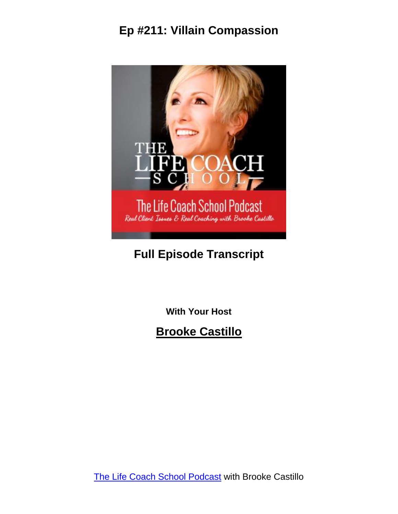

# **Full Episode Transcript**

**With Your Host**

**Brooke Castillo**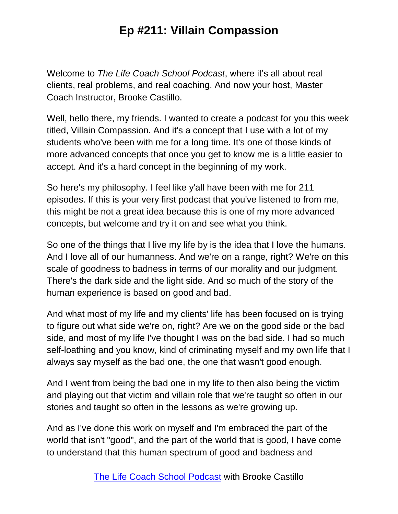Welcome to *The Life Coach School Podcast*, where it's all about real clients, real problems, and real coaching. And now your host, Master Coach Instructor, Brooke Castillo.

Well, hello there, my friends. I wanted to create a podcast for you this week titled, Villain Compassion. And it's a concept that I use with a lot of my students who've been with me for a long time. It's one of those kinds of more advanced concepts that once you get to know me is a little easier to accept. And it's a hard concept in the beginning of my work.

So here's my philosophy. I feel like y'all have been with me for 211 episodes. If this is your very first podcast that you've listened to from me, this might be not a great idea because this is one of my more advanced concepts, but welcome and try it on and see what you think.

So one of the things that I live my life by is the idea that I love the humans. And I love all of our humanness. And we're on a range, right? We're on this scale of goodness to badness in terms of our morality and our judgment. There's the dark side and the light side. And so much of the story of the human experience is based on good and bad.

And what most of my life and my clients' life has been focused on is trying to figure out what side we're on, right? Are we on the good side or the bad side, and most of my life I've thought I was on the bad side. I had so much self-loathing and you know, kind of criminating myself and my own life that I always say myself as the bad one, the one that wasn't good enough.

And I went from being the bad one in my life to then also being the victim and playing out that victim and villain role that we're taught so often in our stories and taught so often in the lessons as we're growing up.

And as I've done this work on myself and I'm embraced the part of the world that isn't "good", and the part of the world that is good, I have come to understand that this human spectrum of good and badness and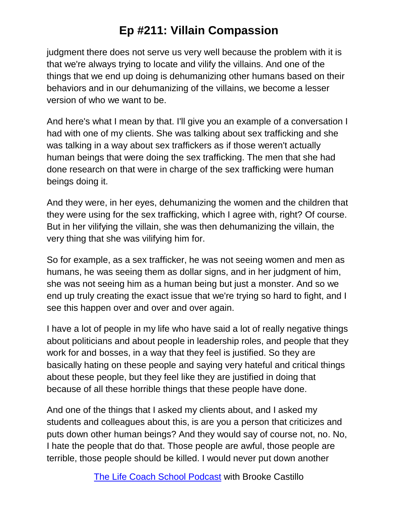judgment there does not serve us very well because the problem with it is that we're always trying to locate and vilify the villains. And one of the things that we end up doing is dehumanizing other humans based on their behaviors and in our dehumanizing of the villains, we become a lesser version of who we want to be.

And here's what I mean by that. I'll give you an example of a conversation I had with one of my clients. She was talking about sex trafficking and she was talking in a way about sex traffickers as if those weren't actually human beings that were doing the sex trafficking. The men that she had done research on that were in charge of the sex trafficking were human beings doing it.

And they were, in her eyes, dehumanizing the women and the children that they were using for the sex trafficking, which I agree with, right? Of course. But in her vilifying the villain, she was then dehumanizing the villain, the very thing that she was vilifying him for.

So for example, as a sex trafficker, he was not seeing women and men as humans, he was seeing them as dollar signs, and in her judgment of him, she was not seeing him as a human being but just a monster. And so we end up truly creating the exact issue that we're trying so hard to fight, and I see this happen over and over and over again.

I have a lot of people in my life who have said a lot of really negative things about politicians and about people in leadership roles, and people that they work for and bosses, in a way that they feel is justified. So they are basically hating on these people and saying very hateful and critical things about these people, but they feel like they are justified in doing that because of all these horrible things that these people have done.

And one of the things that I asked my clients about, and I asked my students and colleagues about this, is are you a person that criticizes and puts down other human beings? And they would say of course not, no. No, I hate the people that do that. Those people are awful, those people are terrible, those people should be killed. I would never put down another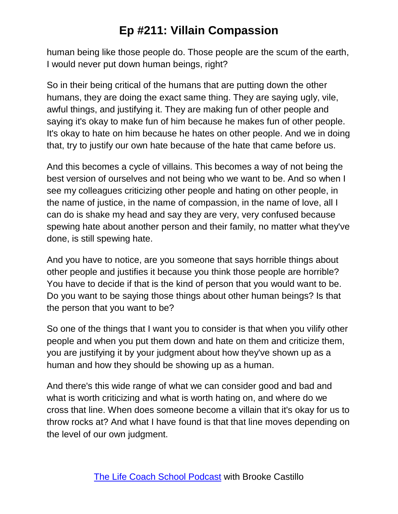human being like those people do. Those people are the scum of the earth, I would never put down human beings, right?

So in their being critical of the humans that are putting down the other humans, they are doing the exact same thing. They are saying ugly, vile, awful things, and justifying it. They are making fun of other people and saying it's okay to make fun of him because he makes fun of other people. It's okay to hate on him because he hates on other people. And we in doing that, try to justify our own hate because of the hate that came before us.

And this becomes a cycle of villains. This becomes a way of not being the best version of ourselves and not being who we want to be. And so when I see my colleagues criticizing other people and hating on other people, in the name of justice, in the name of compassion, in the name of love, all I can do is shake my head and say they are very, very confused because spewing hate about another person and their family, no matter what they've done, is still spewing hate.

And you have to notice, are you someone that says horrible things about other people and justifies it because you think those people are horrible? You have to decide if that is the kind of person that you would want to be. Do you want to be saying those things about other human beings? Is that the person that you want to be?

So one of the things that I want you to consider is that when you vilify other people and when you put them down and hate on them and criticize them, you are justifying it by your judgment about how they've shown up as a human and how they should be showing up as a human.

And there's this wide range of what we can consider good and bad and what is worth criticizing and what is worth hating on, and where do we cross that line. When does someone become a villain that it's okay for us to throw rocks at? And what I have found is that that line moves depending on the level of our own judgment.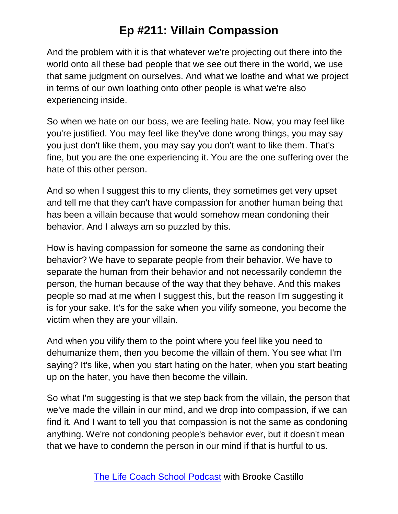And the problem with it is that whatever we're projecting out there into the world onto all these bad people that we see out there in the world, we use that same judgment on ourselves. And what we loathe and what we project in terms of our own loathing onto other people is what we're also experiencing inside.

So when we hate on our boss, we are feeling hate. Now, you may feel like you're justified. You may feel like they've done wrong things, you may say you just don't like them, you may say you don't want to like them. That's fine, but you are the one experiencing it. You are the one suffering over the hate of this other person.

And so when I suggest this to my clients, they sometimes get very upset and tell me that they can't have compassion for another human being that has been a villain because that would somehow mean condoning their behavior. And I always am so puzzled by this.

How is having compassion for someone the same as condoning their behavior? We have to separate people from their behavior. We have to separate the human from their behavior and not necessarily condemn the person, the human because of the way that they behave. And this makes people so mad at me when I suggest this, but the reason I'm suggesting it is for your sake. It's for the sake when you vilify someone, you become the victim when they are your villain.

And when you vilify them to the point where you feel like you need to dehumanize them, then you become the villain of them. You see what I'm saying? It's like, when you start hating on the hater, when you start beating up on the hater, you have then become the villain.

So what I'm suggesting is that we step back from the villain, the person that we've made the villain in our mind, and we drop into compassion, if we can find it. And I want to tell you that compassion is not the same as condoning anything. We're not condoning people's behavior ever, but it doesn't mean that we have to condemn the person in our mind if that is hurtful to us.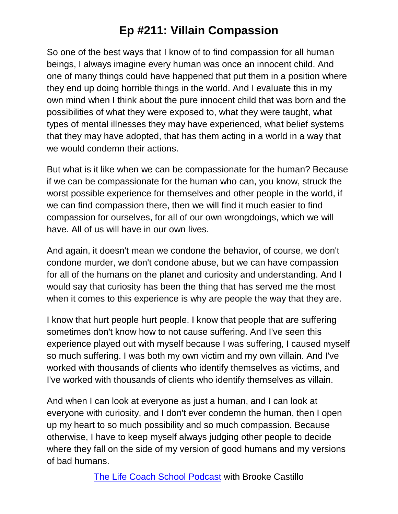So one of the best ways that I know of to find compassion for all human beings, I always imagine every human was once an innocent child. And one of many things could have happened that put them in a position where they end up doing horrible things in the world. And I evaluate this in my own mind when I think about the pure innocent child that was born and the possibilities of what they were exposed to, what they were taught, what types of mental illnesses they may have experienced, what belief systems that they may have adopted, that has them acting in a world in a way that we would condemn their actions.

But what is it like when we can be compassionate for the human? Because if we can be compassionate for the human who can, you know, struck the worst possible experience for themselves and other people in the world, if we can find compassion there, then we will find it much easier to find compassion for ourselves, for all of our own wrongdoings, which we will have. All of us will have in our own lives.

And again, it doesn't mean we condone the behavior, of course, we don't condone murder, we don't condone abuse, but we can have compassion for all of the humans on the planet and curiosity and understanding. And I would say that curiosity has been the thing that has served me the most when it comes to this experience is why are people the way that they are.

I know that hurt people hurt people. I know that people that are suffering sometimes don't know how to not cause suffering. And I've seen this experience played out with myself because I was suffering, I caused myself so much suffering. I was both my own victim and my own villain. And I've worked with thousands of clients who identify themselves as victims, and I've worked with thousands of clients who identify themselves as villain.

And when I can look at everyone as just a human, and I can look at everyone with curiosity, and I don't ever condemn the human, then I open up my heart to so much possibility and so much compassion. Because otherwise, I have to keep myself always judging other people to decide where they fall on the side of my version of good humans and my versions of bad humans.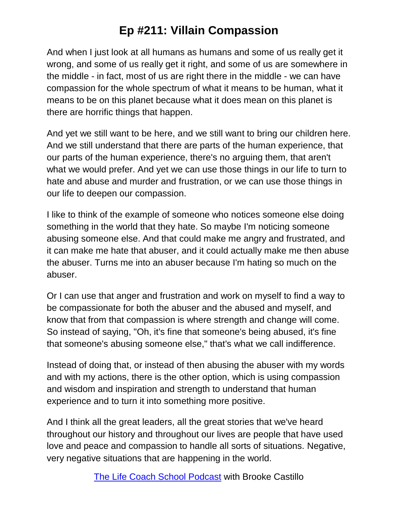And when I just look at all humans as humans and some of us really get it wrong, and some of us really get it right, and some of us are somewhere in the middle - in fact, most of us are right there in the middle - we can have compassion for the whole spectrum of what it means to be human, what it means to be on this planet because what it does mean on this planet is there are horrific things that happen.

And yet we still want to be here, and we still want to bring our children here. And we still understand that there are parts of the human experience, that our parts of the human experience, there's no arguing them, that aren't what we would prefer. And yet we can use those things in our life to turn to hate and abuse and murder and frustration, or we can use those things in our life to deepen our compassion.

I like to think of the example of someone who notices someone else doing something in the world that they hate. So maybe I'm noticing someone abusing someone else. And that could make me angry and frustrated, and it can make me hate that abuser, and it could actually make me then abuse the abuser. Turns me into an abuser because I'm hating so much on the abuser.

Or I can use that anger and frustration and work on myself to find a way to be compassionate for both the abuser and the abused and myself, and know that from that compassion is where strength and change will come. So instead of saying, "Oh, it's fine that someone's being abused, it's fine that someone's abusing someone else," that's what we call indifference.

Instead of doing that, or instead of then abusing the abuser with my words and with my actions, there is the other option, which is using compassion and wisdom and inspiration and strength to understand that human experience and to turn it into something more positive.

And I think all the great leaders, all the great stories that we've heard throughout our history and throughout our lives are people that have used love and peace and compassion to handle all sorts of situations. Negative, very negative situations that are happening in the world.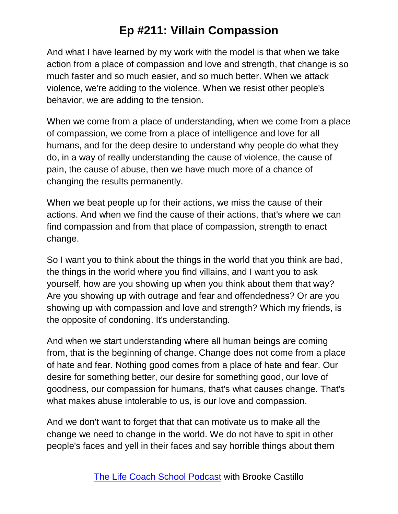And what I have learned by my work with the model is that when we take action from a place of compassion and love and strength, that change is so much faster and so much easier, and so much better. When we attack violence, we're adding to the violence. When we resist other people's behavior, we are adding to the tension.

When we come from a place of understanding, when we come from a place of compassion, we come from a place of intelligence and love for all humans, and for the deep desire to understand why people do what they do, in a way of really understanding the cause of violence, the cause of pain, the cause of abuse, then we have much more of a chance of changing the results permanently.

When we beat people up for their actions, we miss the cause of their actions. And when we find the cause of their actions, that's where we can find compassion and from that place of compassion, strength to enact change.

So I want you to think about the things in the world that you think are bad, the things in the world where you find villains, and I want you to ask yourself, how are you showing up when you think about them that way? Are you showing up with outrage and fear and offendedness? Or are you showing up with compassion and love and strength? Which my friends, is the opposite of condoning. It's understanding.

And when we start understanding where all human beings are coming from, that is the beginning of change. Change does not come from a place of hate and fear. Nothing good comes from a place of hate and fear. Our desire for something better, our desire for something good, our love of goodness, our compassion for humans, that's what causes change. That's what makes abuse intolerable to us, is our love and compassion.

And we don't want to forget that that can motivate us to make all the change we need to change in the world. We do not have to spit in other people's faces and yell in their faces and say horrible things about them